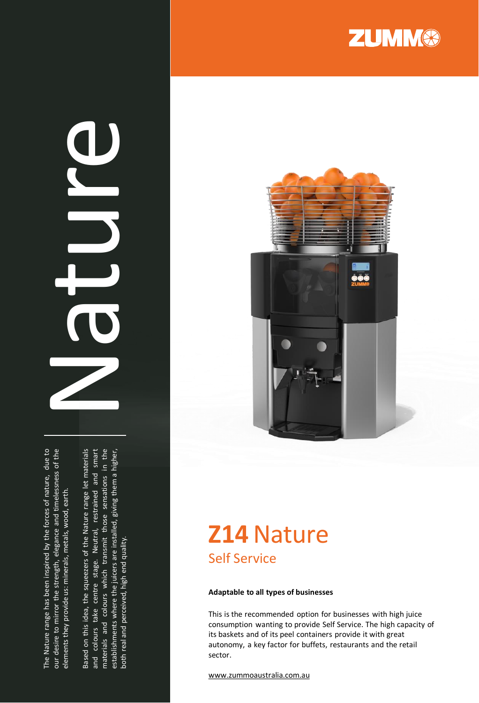The Nature range has been inspired by the forces of nature, due to our desire to mirror the strength, elegance and timelessness of the The Nature range has been inspired by the forces of nature, due to our desire to mirror the strength, elegance and timelessness of the elements they provide us: minerals, metals, wood, earth. elements they provide us: minerals, metals, wood, earth.

Based on this idea, the squeezers of the Nature range let materials Based on this idea, the squeezers of the Nature range let materials and colours take centre stage. Neutral, restrained and smart and colours take centre stage. Neutral, restrained and smart materials and colours which transmit those sensations in the materials and colours which transmit those sensations in the establishments where the juicers are installed, giving them a higher, establishments where the juicers are installed, giving them a higher, both real and perceived, high end quality. both real and perceived, high end quality.

Nature





## **Z14**Nature Self Service

#### **Adaptable to all types of businesses**

This is the recommended option for businesses with high juice consumption wanting to provide Self Service. The high capacity of its baskets and of its peel containers provide it with great autonomy, a key factor for buffets, restaurants and the retail sector.

www [.zummoaustralia](http://www.zummocorp.com/) .com .au